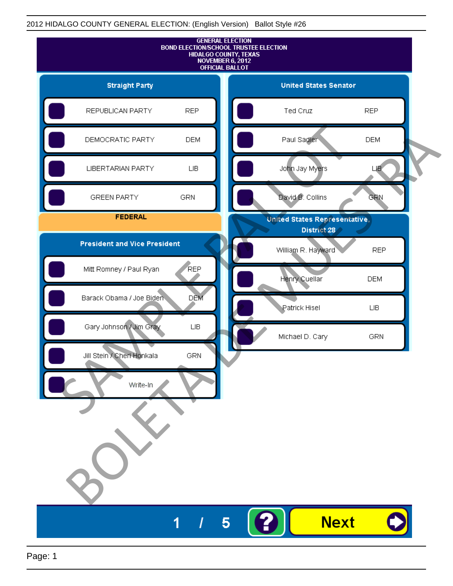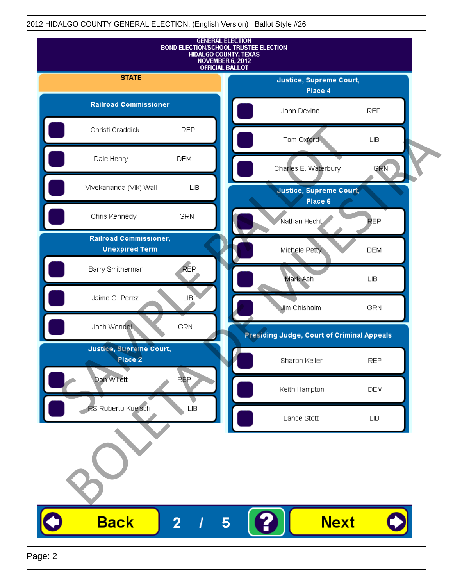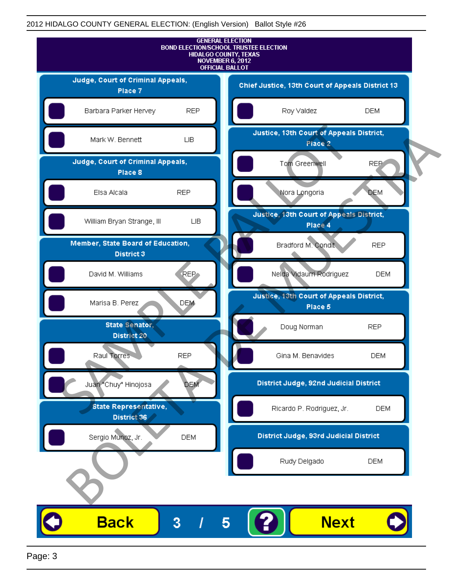

Page: 3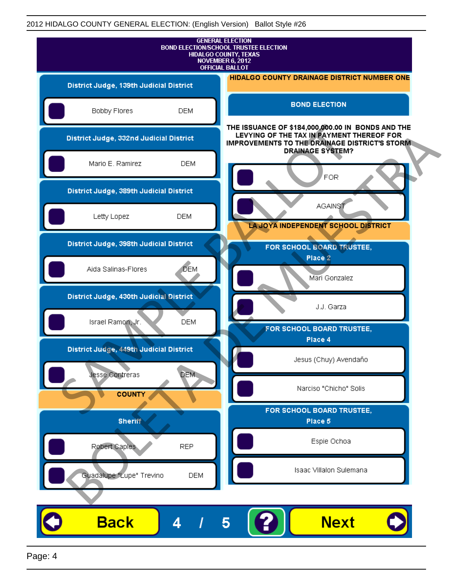| <b>GENERAL ELECTION</b><br><b>BOND ELECTION/SCHOOL TRUSTEE ELECTION</b><br>HIDALGO COUNTY, TEXAS<br>NOVEMBER 6, 2012<br><b>OFFICIAL BALLOT</b> |                                                                                                                                                         |  |
|------------------------------------------------------------------------------------------------------------------------------------------------|---------------------------------------------------------------------------------------------------------------------------------------------------------|--|
| District Judge, 139th Judicial District                                                                                                        | <b>HIDALGO COUNTY DRAINAGE DISTRICT NUMBER ONE</b>                                                                                                      |  |
| Bobby Flores                                                                                                                                   | <b>BOND ELECTION</b><br><b>DEM</b>                                                                                                                      |  |
| District Judge, 332nd Judicial District                                                                                                        | THE ISSUANCE OF \$184,000,000.00 IN BONDS AND THE<br>LEVYING OF THE TAX IN PAYMENT THEREOF FOR<br><b>IMPROVEMENTS TO THE DRAINAGE DISTRICT'S STORM.</b> |  |
| Mario E. Ramirez                                                                                                                               | <b>DRAINAGE SYSTEM?</b><br><b>DEM</b><br>FOR                                                                                                            |  |
| District Judge, 389th Judicial District                                                                                                        |                                                                                                                                                         |  |
| Letty Lopez                                                                                                                                    | <b>AGAINST</b><br><b>DEM</b><br>LA JOYA INDEPENDENT SCHOOL DISTRICT                                                                                     |  |
| District Judge, 398th Judicial District                                                                                                        | FOR SCHOOL BOARD TRUSTEE,                                                                                                                               |  |
| Aida Salinas-Flores                                                                                                                            | Place 2<br><b>DEM</b><br>Mari Gonzalez                                                                                                                  |  |
| District Judge, 430th Judicial District                                                                                                        | J.J. Garza                                                                                                                                              |  |
| Israel Ramon, Jr.                                                                                                                              | <b>DEM</b><br>FOR SCHOOL BOARD TRUSTEE,                                                                                                                 |  |
| District Judge, 449th Judicial District                                                                                                        | Place 4                                                                                                                                                 |  |
| Jesse Contreras                                                                                                                                | Jesus (Chuy) Avendaño<br><b>DEM</b>                                                                                                                     |  |
| <b>COUNTY</b>                                                                                                                                  | Narciso "Chicho" Solis                                                                                                                                  |  |
| <b>Sheriff</b>                                                                                                                                 | FOR SCHOOL BOARD TRUSTEE,<br>Place 5                                                                                                                    |  |
| Robert Caples                                                                                                                                  | Espie Ochoa<br><b>REP</b>                                                                                                                               |  |
| Guadalupe "Lupe" Trevino                                                                                                                       | Isaac Villalon Sulemana<br><b>DEM</b>                                                                                                                   |  |
|                                                                                                                                                |                                                                                                                                                         |  |
| <b>Back</b><br>4                                                                                                                               | <b>Next</b><br>5                                                                                                                                        |  |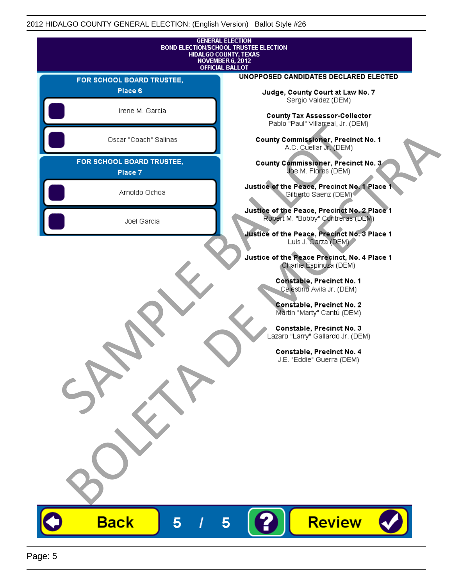|                                      | <b>GENERAL ELECTION</b><br><b>BOND ELECTION/SCHOOL TRUSTEE ELECTION</b><br>HIDALGO COUNTY, TEXAS<br><b>NOVEMBER 6, 2012</b> |
|--------------------------------------|-----------------------------------------------------------------------------------------------------------------------------|
|                                      | <b>OFFICIAL BALLOT</b><br>UNOPPOSED CANDIDATES DECLARED ELECTED                                                             |
| FOR SCHOOL BOARD TRUSTEE,<br>Place 6 |                                                                                                                             |
|                                      | Judge, County Court at Law No. 7<br>Sergio Valdez (DEM)                                                                     |
| Irene M. Garcia                      | <b>County Tax Assessor-Collector</b><br>Pablo "Paul" Villarreal, Jr. (DEM)                                                  |
| Oscar "Coach" Salinas                | County Commissioner, Precinct No. 1<br>A.C. Cuellar Jr. (DEM)                                                               |
| FOR SCHOOL BOARD TRUSTEE,<br>Place 7 | County Commissioner, Precinct No. 3<br>Joe M. Flores (DEM)                                                                  |
| Arnoldo Ochoa                        | Justice of the Peace, Precinct No. 1 Place 1<br>Gilberto Saenz (DEM) <sup>®</sup>                                           |
| Joel Garcia                          | Justice of the Peace, Precinct No. 2 Place 1<br>Robert M. "Bobby" Contreras (DEM)                                           |
|                                      | Justice of the Peace, Precinct No. 3 Place 1<br>Luis J. Garza (DEM)                                                         |
|                                      | Justice of the Peace Precinct, No. 4 Place 1<br>Charlie Espinoza (DEM)                                                      |
|                                      | Constable, Precinct No. 1<br>Celestino Avila Jr. (DEM)                                                                      |
|                                      | Constable, Precinct No. 2<br>Martin "Marty" Cantú (DEM)                                                                     |
|                                      | Constable, Precinct No. 3<br>Lazaro "Larry" Gallardo Jr. (DEM)                                                              |
|                                      | Constable, Precinct No. 4<br>J.E. "Eddie" Guerra (DEM)                                                                      |
|                                      |                                                                                                                             |
|                                      |                                                                                                                             |
|                                      |                                                                                                                             |
|                                      |                                                                                                                             |
|                                      |                                                                                                                             |
|                                      | Review                                                                                                                      |
| <b>Back</b><br>5                     | 5                                                                                                                           |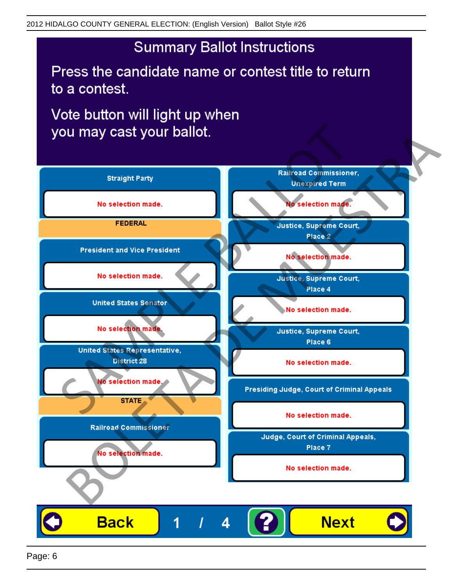Press the candidate name or contest title to return to a contest.

Vote button will light up when

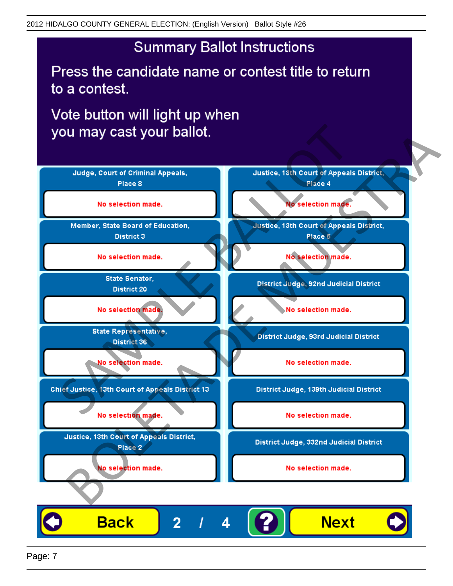Press the candidate name or contest title to return to a contest.

Vote button will light up when



Page: 7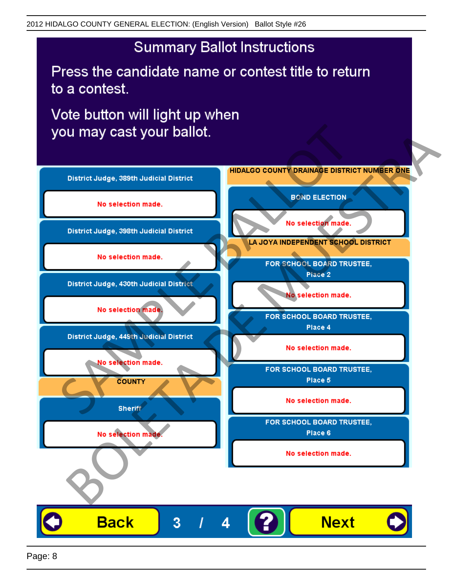Press the candidate name or contest title to return to a contest.

Vote button will light up when



Page: 8